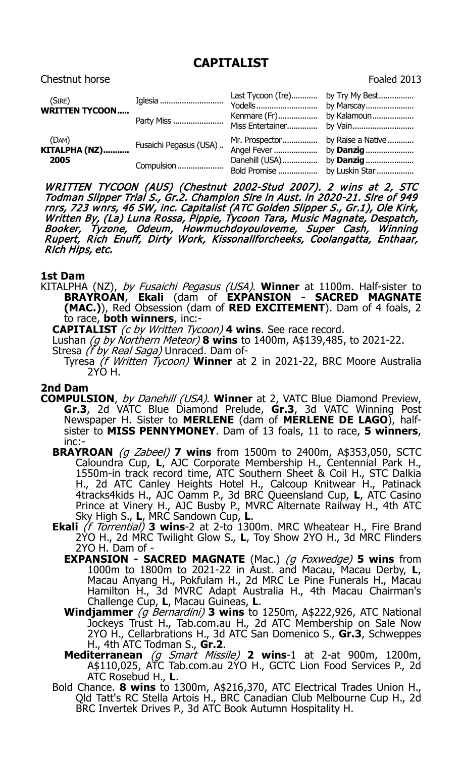# **CAPITALIST**

## Chestnut horse **Foaled 2013**

| (SIRE)<br><b>WRITTEN TYCOON</b>                    | Iglesia<br>Party Miss                | Last Tycoon (Ire) by Try My Best<br>Kenmare (Fr) by Kalamoun    |  |
|----------------------------------------------------|--------------------------------------|-----------------------------------------------------------------|--|
| (DAM)<br>$\overline{\text{KITALPHA (NZ)}}$<br>2005 | Fusaichi Pegasus (USA)<br>Compulsion | Danehill (USA) by <b>Danzig</b><br>Bold Promise  by Luskin Star |  |

WRITTEN TYCOON (AUS) (Chestnut 2002-Stud 2007). 2 wins at 2, STC Todman Slipper Trial S., Gr.2. Champion Sire in Aust. in 2020-21. Sire of 949 rnrs, 723 wnrs, 46 SW, inc. Capitalist (ATC Golden Slipper S., Gr.1), Ole Kirk, Written By, (La) Luna Rossa, Pippie, Tycoon Tara, Music Magnate, Despatch, Booker, Tyzone, Odeum, Howmuchdoyouloveme, Super Cash, Winning Rupert, Rich Enuff, Dirty Work, Kissonallforcheeks, Coolangatta, Enthaar, Rich Hips, etc.

#### **1st Dam**

KITALPHA (NZ), by Fusaichi Pegasus (USA). **Winner** at 1100m. Half-sister to **BRAYROAN**, **Ekali** (dam of **EXPANSION - SACRED MAGNATE (MAC.)**), Red Obsession (dam of **RED EXCITEMENT**). Dam of 4 foals, 2 to race, **both winners**, inc:-

**CAPITALIST** (c by Written Tycoon) **4 wins**. See race record.

- Lushan (g by Northern Meteor) **8 wins** to 1400m, A\$139,485, to 2021-22.
- Stresa (f by Real Saga) Unraced. Dam of-Tyresa (f Written Tycoon) **Winner** at 2 in 2021-22, BRC Moore Australia 2YO H.

## **2nd Dam**

- **COMPULSION**, by Danehill (USA). Winner at 2, VATC Blue Diamond Preview, **Gr.3**, 2d VATC Blue Diamond Prelude, **Gr.3**, 3d VATC Winning Post Newspaper H. Sister to **MERLENE** (dam of **MERLENE DE LAGO**), halfsister to **MISS PENNYMONEY**. Dam of 13 foals, 11 to race, **5 winners**, inc:-
	- **BRAYROAN** (g Zabeel) **7 wins** from 1500m to 2400m, A\$353,050, SCTC Caloundra Cup, **L**, AJC Corporate Membership H., Centennial Park H., 1550m-in track record time, ATC Southern Sheet & Coil H., STC Dalkia H., 2d ATC Canley Heights Hotel H., Calcoup Knitwear H., Patinack 4tracks4kids H., AJC Oamm P., 3d BRC Queensland Cup, **L**, ATC Casino Prince at Vinery H., AJC Busby P., MVRC Alternate Railway H., 4th ATC Sky High S., **L**, MRC Sandown Cup, **L**.
	- **Ekali** (f Torrential) **3 wins**-2 at 2-to 1300m. MRC Wheatear H., Fire Brand 2YO H., 2d MRC Twilight Glow S., **L**, Toy Show 2YO H., 3d MRC Flinders 2YO H. Dam of -
		- **EXPANSION - SACRED MAGNATE** (Mac.) (g Foxwedge) **5 wins** from 1000m to 1800m to 2021-22 in Aust. and Macau, Macau Derby, **L**, Macau Anyang H., Pokfulam H., 2d MRC Le Pine Funerals H., Macau Hamilton H., 3d MVRC Adapt Australia H., 4th Macau Chairman's Challenge Cup, **L**, Macau Guineas, **L**.
		- **Windjammer** (g Bernardini) **3 wins** to 1250m, A\$222,926, ATC National Jockeys Trust H., Tab.com.au H., 2d ATC Membership on Sale Now 2YO H., Cellarbrations H., 3d ATC San Domenico S., **Gr.3**, Schweppes H., 4th ATC Todman S., **Gr.2**.
		- **Mediterranean** (g Smart Missile) **2 wins**-1 at 2-at 900m, 1200m, A\$110,025, ATC Tab.com.au 2YO H., GCTC Lion Food Services P., 2d ATC Rosebud H., **L**.
	- Bold Chance. **8 wins** to 1300m, A\$216,370, ATC Electrical Trades Union H., Qld Tatt's RC Stella Artois H., BRC Canadian Club Melbourne Cup H., 2d BRC Invertek Drives P., 3d ATC Book Autumn Hospitality H.